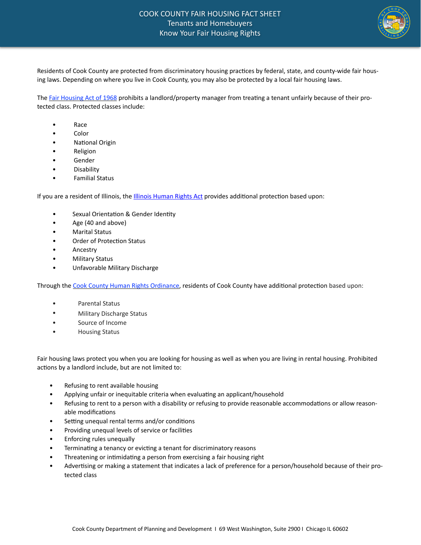# COOK COUNTY FAIR HOUSING FACT SHEET Tenants and Homebuyers Know Your Fair Housing Rights



Residents of Cook County are protected from discriminatory housing practices by federal, state, and county-wide fair housing laws. Depending on where you live in Cook County, you may also be protected by a local fair housing laws.

The Fair Housing Act of 1968 prohibits a landlord/property manager from treating a tenant unfairly because of their protected class. Protected classes include:

- Race
- Color
- **National Origin**
- **Religion**
- **Gender**
- Disability
- Familial Status

If you are a resident of Illinois, the **Illinois Human Rights Act provides** additional protection based upon:

- Sexual Orientation & Gender Identity
- Age (40 and above)
- **Marital Status**
- Order of Protection Status
- **Ancestry**
- Military Status
- Unfavorable Military Discharge

Through the Cook County Human Rights Ordinance, residents of Cook County have additional protection based upon:

- Parental Status
- Military Discharge Status
- Source of Income
- **Housing Status**

Fair housing laws protect you when you are looking for housing as well as when you are living in rental housing. Prohibited actions by a landlord include, but are not limited to:

- Refusing to rent available housing
- Applying unfair or inequitable criteria when evaluating an applicant/household
- Refusing to rent to a person with a disability or refusing to provide reasonable accommodations or allow reasonable modifications
- Setting unequal rental terms and/or conditions
- Providing unequal levels of service or facilities
- Enforcing rules unequally
- Terminating a tenancy or evicting a tenant for discriminatory reasons
- Threatening or intimidating a person from exercising a fair housing right
- Advertising or making a statement that indicates a lack of preference for a person/household because of their protected class